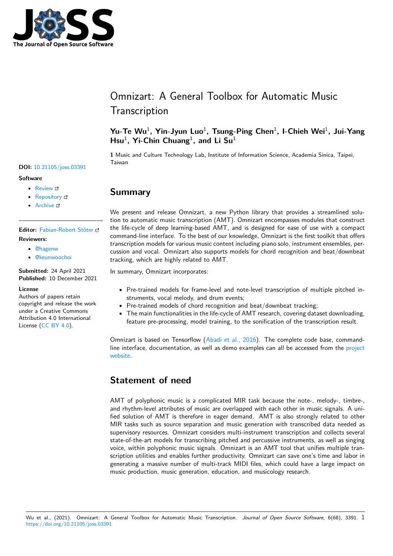

# Omnizart: A General Toolbox for Automatic Music **Transcription**

### Yu-Te Wu<sup>1</sup>, Yin-Jyun Luo<sup>1</sup>, Tsung-Ping Chen<sup>1</sup>, I-Chieh Wei<sup>1</sup>, Jui-Yang Hsu<sup>1</sup>, Yi-Chin Chuang<sup>1</sup>, and Li Su<sup>1</sup>

**1** Music and Culture Technology Lab, Institute of Information Science, Academia Sinica, Taipei, Taiwan

## **Summary**

We present and release Omnizart, a new Python library that provides a streamlined solution to automatic music transcription (AMT). Omnizart encompasses modules that construct the life-cycle of deep learning-based AMT, and is designed for ease of use with a compact command-line interface. To the best of our knowledge, Omnizart is the first toolkit that offers transcription models for various music content including piano solo, instrument ensembles, percussion and vocal. Omnizart also supports models for chord recognition and beat/downbeat tracking, which are highly related to AMT.

In summary, Omnizart incorporates:

- Pre-trained models for frame-level and note-level transcription of multiple pitched instruments, vocal melody, and drum events;
- Pre-trained models of chord recognition and beat/downbeat tracking;
- The main functionalities in the life-cycle of AMT research, covering dataset downloading, feature pre-processing, model training, to the sonification of the transcription result.

Omnizart is based on Tensorflow (Abadi et al., 2016). The complete code base, commandline interface, documentation, as well as demo examples can all be accessed from the project website.

## **[State](https://github.com/Music-and-Culture-Technology-Lab/omnizart)ment of need**

AMT of polyphonic music is a complicated MIR task because the note-, melody-, timbre-, and rhythm-level attributes of music are overlapped with each other in music signals. A unified solution of AMT is therefore in eager demand. AMT is also strongly related to other MIR tasks such as source separation and music generation with transcribed data needed as supervisory resources. Omnizart considers multi-instrument transcription and collects several state-of-the-art models for transcribing pitched and percussive instruments, as well as singing voice, within polyphonic music signals. Omnizart is an AMT tool that unifies multiple transcription utilities and enables further productivity. Omnizart can save one's time and labor in generating a massive number of multi-track MIDI files, which could have a large impact on music production, music generation, education, and musicology research.

#### **DOI:** 10.21105/joss.03391

#### **Software**

- Review C
- [Repository](https://doi.org/10.21105/joss.03391) &
- Archive

**Editor:** [Fabian-R](https://github.com/Music-and-Culture-Technology-Lab/omnizart)obert Stöter **Revie[wers:](https://doi.org/10.5281/zenodo.5769022)**

- @hagenw
	- @[keunwoochoi](https://faroit.com/)

**Submitted:** 24 April 2021 **Publi[shed:](https://github.com/hagenw)** 10 December 2021

#### **License**

Autho[rs of papers ret](https://github.com/keunwoochoi)ain copyright and release the work under a Creative Commons Attribution 4.0 International License (CC BY 4.0).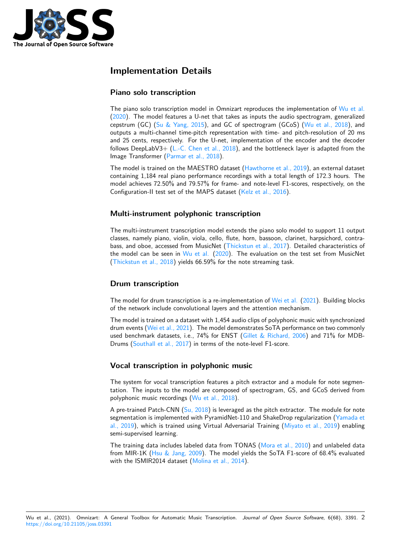

## **Implementation Details**

### **Piano solo transcription**

The piano solo transcription model in Omnizart reproduces the implementation of Wu et al. (2020). The model features a U-net that takes as inputs the audio spectrogram, generalized cepstrum (GC) (Su & Yang, 2015), and GC of spectrogram (GCoS) (Wu et al., 2018), and outputs a multi-channel time-pitch representation with time- and pitch-resolution of 20 ms and 25 cents, respectively. For the U-net, implementation of the encoder and th[e decoder](#page-4-0) f[ollow](#page-4-0)s DeepLabV3+ (L.-C. Chen et al.,  $2018$ ), and the bottleneck layer is adapted from the Image Transfor[mer \(Parmar et al.,](#page-4-1) 2018).

The model is trained on the MAESTRO dataset (Hawthorne et al., 2019), an external dataset containing 1,184 real piano performance recordings with a total length of 172.3 hours. The model achieves 72.50[% and 79.57% for frame](#page-3-0)- and note-level F1-scores, respectively, on the Configuration-II test [set of the MAPS d](#page-3-1)ataset (Kelz et al., 2016).

#### **Multi-instrument polyphonic transcription**

The multi-instrument transcription model exten[ds the piano solo](#page-3-2) model to support 11 output classes, namely piano, violin, viola, cello, flute, horn, bassoon, clarinet, harpsichord, contrabass, and oboe, accessed from MusicNet (Thickstun et al., 2017). Detailed characteristics of the model can be seen in Wu et al.  $(2020)$ . The evaluation on the test set from MusicNet (Thickstun et al., 2018) yields 66.59% for the note streaming task.

### **Drum transcription**

[The model for drum tra](#page-4-2)nscription is a re-implementation of Wei et al. (2021). Building blocks of the network include convolutional layers and the attention mechanism.

The model is trained on a dataset with 1,454 audio clips of polyphonic music with synchronized drum events (Wei et al., 2021). The model demonstrates SoTA performance on two commonly used benchmark datasets, i.e., 74% for ENST (Gillet & R[ichard, 20](#page-4-3)0[6\) an](#page-4-3)d 71% for MDB-Drums (Southall et al., 2017) in terms of the note-level F1-score.

### **Vocal tra[nscription in](#page-4-3) polyphonic m[usic](#page-3-3)**

The sys[tem for vocal transcr](#page-3-4)iption features a pitch extractor and a module for note segmentation. The inputs to the model are composed of spectrogram, GS, and GCoS derived from polyphonic music recordings (Wu et al., 2018).

A pre-trained Patch-CNN  $(S<sub>u</sub>, 2018)$  is leveraged as the pitch extractor. The module for note segmentation is implemented with PyramidNet-110 and ShakeDrop regularization (Yamada et al., 2019), which is trained u[sing Virtual Adv](#page-4-4)ersarial Training (Miyato et al., 2019) enabling semi-supervised learning.

The training data includes [labeled d](#page-4-5)ata from TONAS (Mora et al., 2010) and unlabeled data from MIR-1K (Hsu & Jang, 2009). The model yields the SoT[A F1-score of 68.4%](#page-3-5) [evaluated](#page-4-6) [with the](#page-4-6) ISMIR2014 dataset (Molina et al., 2014).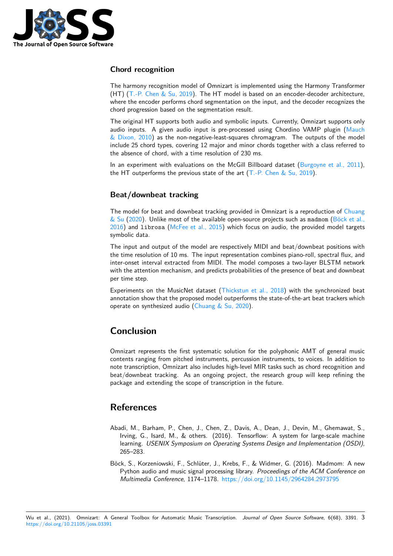

#### **Chord recognition**

The harmony recognition model of Omnizart is implemented using the Harmony Transformer (HT) (T.-P. Chen & Su, 2019). The HT model is based on an encoder-decoder architecture, where the encoder performs chord segmentation on the input, and the decoder recognizes the chord progression based on the segmentation result.

The original HT supports both audio and symbolic inputs. Currently, Omnizart supports only audio [inputs. A given audio](#page-3-6) input is pre-processed using Chordino VAMP plugin (Mauch  $&$  Dixon, 2010) as the non-negative-least-squares chromagram. The outputs of the model include 25 chord types, covering 12 major and minor chords together with a class referred to the absence of chord, with a time resolution of 230 ms.

In an experiment with evaluations on the McGill Billboard dataset (Burgoyne et al., [2011\),](#page-3-7) [the HT outperf](#page-3-7)orms the previous state of the art  $(T.-P.$  Chen & Su, 2019).

#### **Beat/downbeat tracking**

The model for beat and downbeat tracking provid[ed in Omnizart is a repro](#page-3-6)duction of Chuang  $&$  Su (2020). Unlike most of the available open-source projects such as madmom (Böck et al., 2016) and librosa (McFee et al., 2015) which focus on audio, the provided model targets symbolic data.

The input and output of the model are respectively MIDI and beat/downbeat positi[ons with](#page-3-8) [the time res](#page-3-8)olution of 10 ms. The input representation combines piano-roll, spect[ral flux, and](#page-2-0) [inter-](#page-2-0)onset interval e[xtracted from MIDI.](#page-3-9) The model composes a two-layer BLSTM network with the attention mechanism, and predicts probabilities of the presence of beat and downbeat per time step.

Experiments on the MusicNet dataset (Thickstun et al., 2018) with the synchronized beat annotation show that the proposed model outperforms the state-of-the-art beat trackers which operate on synthesized audio (Chuang  $&$  Su, 2020).

## **Conclusion**

Omnizart represents the first systematic solution for the polyphonic AMT of general music contents ranging from pitched instruments, percussion instruments, to voices. In addition to note transcription, Omnizart also includes high-level MIR tasks such as chord recognition and beat/downbeat tracking. As an ongoing project, the research group will keep refining the package and extending the scope of transcription in the future.

### **References**

- Abadi, M., Barham, P., Chen, J., Chen, Z., Davis, A., Dean, J., Devin, M., Ghemawat, S., Irving, G., Isard, M., & others. (2016). Tensorflow: A system for large-scale machine learning. *USENIX Symposium on Operating Systems Design and Implementation (OSDI)*, 265–283.
- <span id="page-2-0"></span>Böck, S., Korzeniowski, F., Schlüter, J., Krebs, F., & Widmer, G. (2016). Madmom: A new Python audio and music signal processing library. *Proceedings of the ACM Conference on Multimedia Conference*, 1174–1178. https://doi.org/10.1145/2964284.2973795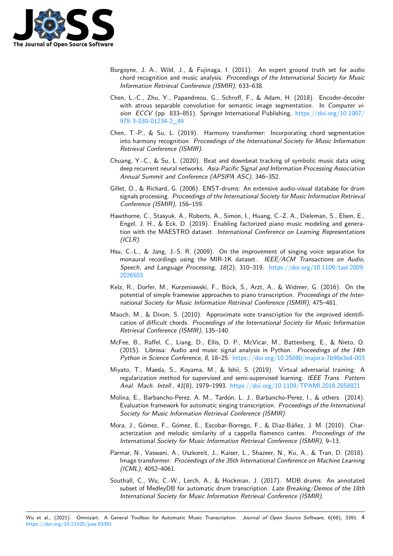

- Burgoyne, J. A., Wild, J., & Fujinaga, I. (2011). An expert ground truth set for audio chord recognition and music analysis. *Proceedings of the International Society for Music Information Retrieval Conference (ISMIR)*, 633–638.
- Chen, L.-C., Zhu, Y., Papandreou, G., Schroff, F., & Adam, H. (2018). Encoder-decoder with atrous separable convolution for semantic image segmentation. In *Computer vision ECCV* (pp. 833–851). Springer International Publishing. https://doi.org/10.1007/ 978-3-030-01234-2\_49
- <span id="page-3-0"></span>Chen, T.-P., & Su, L. (2019). Harmony transformer: Incorporating chord segmentation into harmony recognition. *Proceedings of the International Soc[iety for Music Information](https://doi.org/10.1007/978-3-030-01234-2_49) [Retrieval Conference \(IS](https://doi.org/10.1007/978-3-030-01234-2_49)MIR)*.
- <span id="page-3-6"></span>Chuang, Y.-C., & Su, L. (2020). Beat and downbeat tracking of symbolic music data using deep recurrent neural networks. *Asia-Pacific Signal and Information Processing Association Annual Summit and Conference (APSIPA ASC)*, 346–352.
- <span id="page-3-8"></span>Gillet, O., & Richard, G. (2006). ENST-drums: An extensive audio-visual database for drum signals processing. *Proceedings of the International Society for Music Information Retrieval Conference (ISMIR)*, 156–159.
- <span id="page-3-3"></span>Hawthorne, C., Stasyuk, A., Roberts, A., Simon, I., Huang, C.-Z. A., Dieleman, S., Elsen, E., Engel, J. H., & Eck, D. (2019). Enabling factorized piano music modeling and generation with the MAESTRO dataset. *International Conference on Learning Representations (ICLR)*.
- Hsu, C.-L., & Jang, J.-S. R. (2009). On the improvement of singing voice separation for monaural recordings using the MIR-1K dataset. *IEEE/ACM Transactions on Audio, Speech, and Language Processing*, *18*(2), 310–319. https://doi.org/10.1109/tasl.2009. 2026503
- Kelz, R., Dorfer, M., Korzeniowski, F., Böck, S., Arzt, A., & Widmer, G. (2016). On the potential of simple framewise approaches to piano transcription. *[Proceedings of the Inter](https://doi.org/10.1109/tasl.2009.2026503)[national](https://doi.org/10.1109/tasl.2009.2026503) Society for Music Information Retrieval Conference (ISMIR)*, 475–481.
- <span id="page-3-2"></span>Mauch, M., & Dixon, S. (2010). Approximate note transcription for the improved identification of difficult chords. *Proceedings of the International Society for Music Information Retrieval Conference (ISMIR)*, 135–140.
- <span id="page-3-7"></span>McFee, B., Raffel, C., Liang, D., Ellis, D. P., McVicar, M., Battenberg, E., & Nieto, O. (2015). Librosa: Audio and music signal analysis in Python. *Proceedings of the 14th Python in Science Conference*, *8*, 18–25. https://doi.org/10.25080/majora-7b98e3ed-003
- <span id="page-3-9"></span>Miyato, T., Maeda, S., Koyama, M., & Ishii, S. (2019). Virtual adversarial training: A regularization method for supervised and semi-supervised learning. *IEEE Trans. Pattern Anal. Mach. Intell.*, *41*(8), 1979–1993. [https://doi.org/10.1109/TPAMI.2018.2858821](https://doi.org/10.25080/majora-7b98e3ed-003)
- <span id="page-3-5"></span>Molina, E., Barbancho-Perez, A. M., Tardón, L. J., Barbancho-Perez, I., & others. (2014). Evaluation framework for automatic singing transcription. *Proceedings of the International Society for Music Information Retrieval [Conference \(ISMIR\)](https://doi.org/10.1109/TPAMI.2018.2858821)*.
- Mora, J., Gómez, F., Gómez, E., Escobar-Borrego, F., & Dı́az-Báñez, J. M. (2010). Characterization and melodic similarity of a cappella flamenco cantes. *Proceedings of the International Society for Music Information Retrieval Conference (ISMIR)*, 9–13.
- Parmar, N., Vaswani, A., Uszkoreit, J., Kaiser, L., Shazeer, N., Ku, A., & Tran, D. (2018). Image transformer. *Proceedings of the 35th International Conference on Machine Learning (ICML)*, 4052–4061.
- <span id="page-3-4"></span><span id="page-3-1"></span>Southall, C., Wu, C.-W., Lerch, A., & Hockman, J. (2017). MDB drums: An annotated subset of MedleyDB for automatic drum transcription. *Late Breaking/Demos of the 18th International Society for Music Information Retrieval Conference (ISMIR)*.